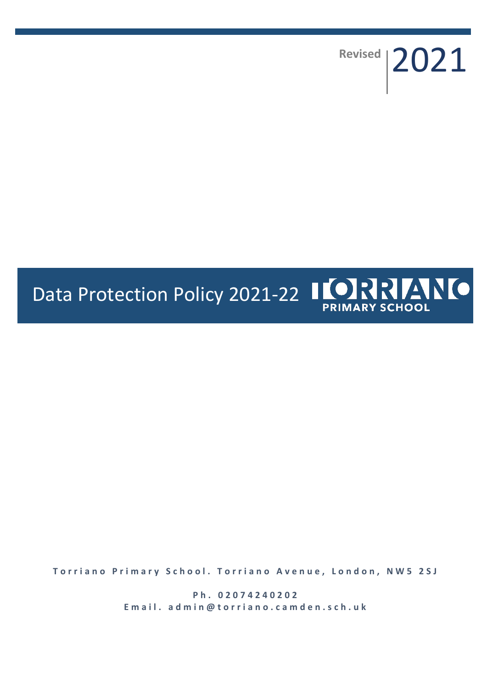Revised | 2021

# Data Protection Policy 2021-22 | CORRENTO

**Torriano Primary School. Torriano Avenue, London, NW5 2SJ** 

**P h . 0 2 0 7 4 2 4 0 2 0 2** Email. admin@torriano.camden.sch.uk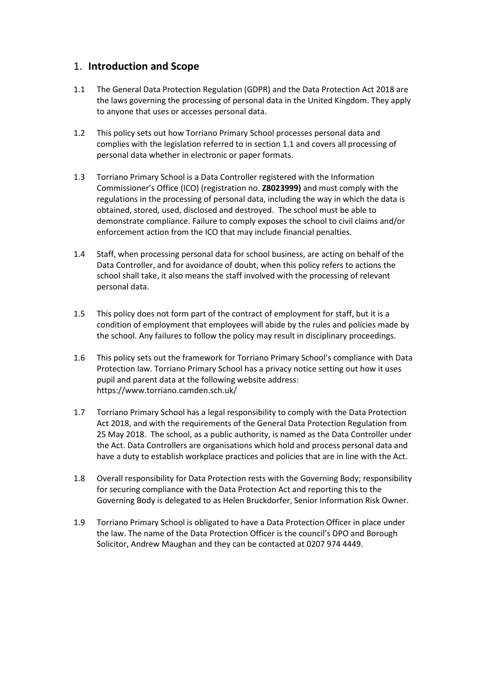### 1. **Introduction and Scope**

- 1.1 The General Data Protection Regulation (GDPR) and the Data Protection Act 2018 are the laws governing the processing of personal data in the United Kingdom. They apply to anyone that uses or accesses personal data.
- 1.2 This policy sets out how Torriano Primary School processes personal data and complies with the legislation referred to in section 1.1 and covers all processing of personal data whether in electronic or paper formats.
- 1.3 Torriano Primary School is a Data Controller registered with the Information Commissioner's Office (ICO) (registration no. **Z8023999)** and must comply with the regulations in the processing of personal data, including the way in which the data is obtained, stored, used, disclosed and destroyed. The school must be able to demonstrate compliance. Failure to comply exposes the school to civil claims and/or enforcement action from the ICO that may include financial penalties.
- 1.4 Staff, when processing personal data for school business, are acting on behalf of the Data Controller, and for avoidance of doubt, when this policy refers to actions the school shall take, it also means the staff involved with the processing of relevant personal data.
- 1.5 This policy does not form part of the contract of employment for staff, but it is a condition of employment that employees will abide by the rules and policies made by the school. Any failures to follow the policy may result in disciplinary proceedings.
- 1.6 This policy sets out the framework for Torriano Primary School's compliance with Data Protection law. Torriano Primary School has a privacy notice setting out how it uses pupil and parent data at the following website address: https://www.torriano.camden.sch.uk/
- 1.7 Torriano Primary School has a legal responsibility to comply with the Data Protection Act 2018, and with the requirements of the General Data Protection Regulation from 25 May 2018. The school, as a public authority, is named as the Data Controller under the Act. Data Controllers are organisations which hold and process personal data and have a duty to establish workplace practices and policies that are in line with the Act.
- 1.8 Overall responsibility for Data Protection rests with the Governing Body; responsibility for securing compliance with the Data Protection Act and reporting this to the Governing Body is delegated to as Helen Bruckdorfer, Senior Information Risk Owner.
- 1.9 Torriano Primary School is obligated to have a Data Protection Officer in place under the law. The name of the Data Protection Officer is the council's DPO and Borough Solicitor, Andrew Maughan and they can be contacted at 0207 974 4449.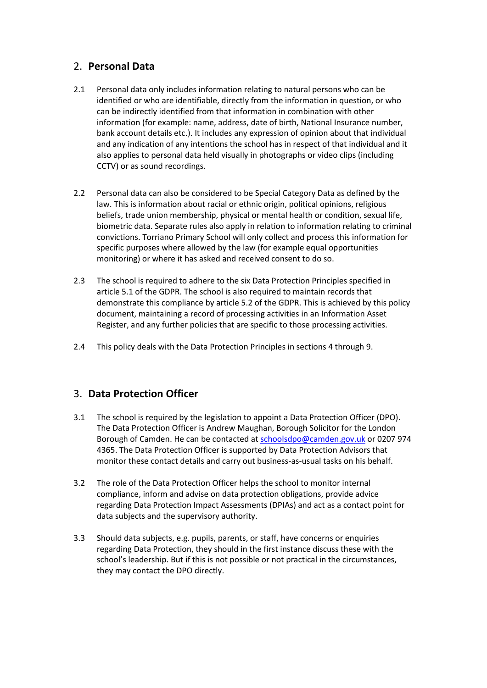## 2. **Personal Data**

- 2.1 Personal data only includes information relating to natural persons who can be identified or who are identifiable, directly from the information in question, or who can be indirectly identified from that information in combination with other information (for example: name, address, date of birth, National Insurance number, bank account details etc.). It includes any expression of opinion about that individual and any indication of any intentions the school has in respect of that individual and it also applies to personal data held visually in photographs or video clips (including CCTV) or as sound recordings.
- 2.2 Personal data can also be considered to be Special Category Data as defined by the law. This is information about racial or ethnic origin, political opinions, religious beliefs, trade union membership, physical or mental health or condition, sexual life, biometric data. Separate rules also apply in relation to information relating to criminal convictions. Torriano Primary School will only collect and process this information for specific purposes where allowed by the law (for example equal opportunities monitoring) or where it has asked and received consent to do so.
- 2.3 The school is required to adhere to the six Data Protection Principles specified in article 5.1 of the GDPR. The school is also required to maintain records that demonstrate this compliance by article 5.2 of the GDPR. This is achieved by this policy document, maintaining a record of processing activities in an Information Asset Register, and any further policies that are specific to those processing activities.
- 2.4 This policy deals with the Data Protection Principles in sections 4 through 9.

# 3. **Data Protection Officer**

- 3.1 The school is required by the legislation to appoint a Data Protection Officer (DPO). The Data Protection Officer is Andrew Maughan, Borough Solicitor for the London Borough of Camden. He can be contacted at [schoolsdpo@camden.gov.uk](mailto:schoolsdpo@camden.gov.uk) or 0207 974 4365. The Data Protection Officer is supported by Data Protection Advisors that monitor these contact details and carry out business-as-usual tasks on his behalf.
- 3.2 The role of the Data Protection Officer helps the school to monitor internal compliance, inform and advise on data protection obligations, provide advice regarding Data Protection Impact Assessments (DPIAs) and act as a contact point for data subjects and the supervisory authority.
- 3.3 Should data subjects, e.g. pupils, parents, or staff, have concerns or enquiries regarding Data Protection, they should in the first instance discuss these with the school's leadership. But if this is not possible or not practical in the circumstances, they may contact the DPO directly.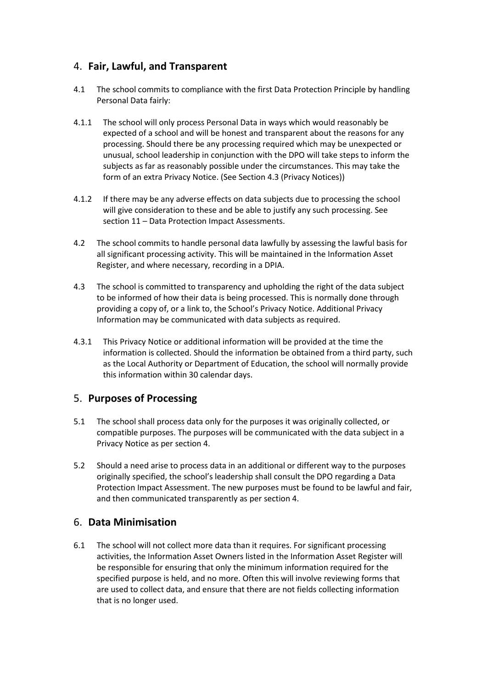## 4. **Fair, Lawful, and Transparent**

- 4.1 The school commits to compliance with the first Data Protection Principle by handling Personal Data fairly:
- 4.1.1 The school will only process Personal Data in ways which would reasonably be expected of a school and will be honest and transparent about the reasons for any processing. Should there be any processing required which may be unexpected or unusual, school leadership in conjunction with the DPO will take steps to inform the subjects as far as reasonably possible under the circumstances. This may take the form of an extra Privacy Notice. (See Section 4.3 (Privacy Notices))
- 4.1.2 If there may be any adverse effects on data subjects due to processing the school will give consideration to these and be able to justify any such processing. See section 11 – Data Protection Impact Assessments.
- 4.2 The school commits to handle personal data lawfully by assessing the lawful basis for all significant processing activity. This will be maintained in the Information Asset Register, and where necessary, recording in a DPIA.
- 4.3 The school is committed to transparency and upholding the right of the data subject to be informed of how their data is being processed. This is normally done through providing a copy of, or a link to, the School's Privacy Notice. Additional Privacy Information may be communicated with data subjects as required.
- 4.3.1 This Privacy Notice or additional information will be provided at the time the information is collected. Should the information be obtained from a third party, such as the Local Authority or Department of Education, the school will normally provide this information within 30 calendar days.

## 5. **Purposes of Processing**

- 5.1 The school shall process data only for the purposes it was originally collected, or compatible purposes. The purposes will be communicated with the data subject in a Privacy Notice as per section 4.
- 5.2 Should a need arise to process data in an additional or different way to the purposes originally specified, the school's leadership shall consult the DPO regarding a Data Protection Impact Assessment. The new purposes must be found to be lawful and fair, and then communicated transparently as per section 4.

## 6. **Data Minimisation**

6.1 The school will not collect more data than it requires. For significant processing activities, the Information Asset Owners listed in the Information Asset Register will be responsible for ensuring that only the minimum information required for the specified purpose is held, and no more. Often this will involve reviewing forms that are used to collect data, and ensure that there are not fields collecting information that is no longer used.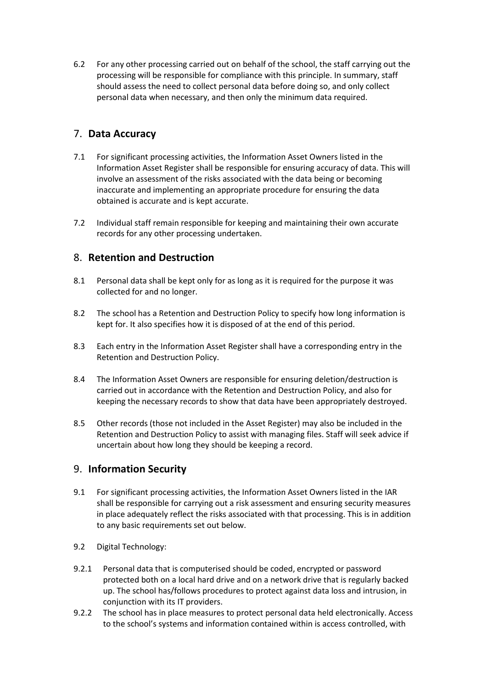6.2 For any other processing carried out on behalf of the school, the staff carrying out the processing will be responsible for compliance with this principle. In summary, staff should assess the need to collect personal data before doing so, and only collect personal data when necessary, and then only the minimum data required.

## 7. **Data Accuracy**

- 7.1 For significant processing activities, the Information Asset Owners listed in the Information Asset Register shall be responsible for ensuring accuracy of data. This will involve an assessment of the risks associated with the data being or becoming inaccurate and implementing an appropriate procedure for ensuring the data obtained is accurate and is kept accurate.
- 7.2 Individual staff remain responsible for keeping and maintaining their own accurate records for any other processing undertaken.

## 8. **Retention and Destruction**

- 8.1 Personal data shall be kept only for as long as it is required for the purpose it was collected for and no longer.
- 8.2 The school has a Retention and Destruction Policy to specify how long information is kept for. It also specifies how it is disposed of at the end of this period.
- 8.3 Each entry in the Information Asset Register shall have a corresponding entry in the Retention and Destruction Policy.
- 8.4 The Information Asset Owners are responsible for ensuring deletion/destruction is carried out in accordance with the Retention and Destruction Policy, and also for keeping the necessary records to show that data have been appropriately destroyed.
- 8.5 Other records (those not included in the Asset Register) may also be included in the Retention and Destruction Policy to assist with managing files. Staff will seek advice if uncertain about how long they should be keeping a record.

#### 9. **Information Security**

- 9.1 For significant processing activities, the Information Asset Owners listed in the IAR shall be responsible for carrying out a risk assessment and ensuring security measures in place adequately reflect the risks associated with that processing. This is in addition to any basic requirements set out below.
- 9.2 Digital Technology:
- 9.2.1 Personal data that is computerised should be coded, encrypted or password protected both on a local hard drive and on a network drive that is regularly backed up. The school has/follows procedures to protect against data loss and intrusion, in conjunction with its IT providers.
- 9.2.2 The school has in place measures to protect personal data held electronically. Access to the school's systems and information contained within is access controlled, with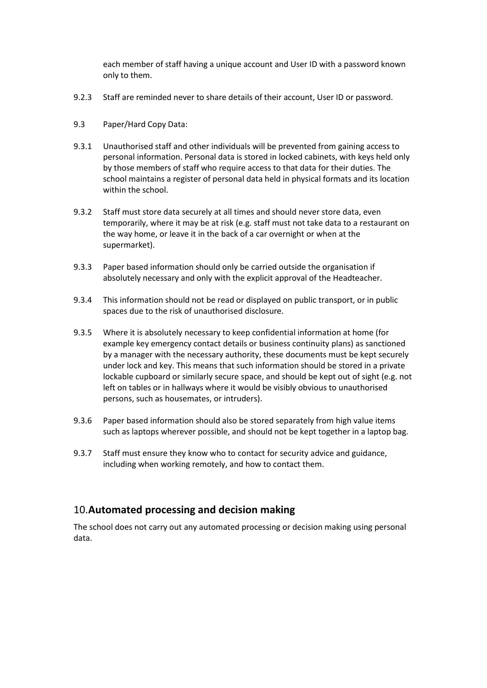each member of staff having a unique account and User ID with a password known only to them.

- 9.2.3 Staff are reminded never to share details of their account, User ID or password.
- 9.3 Paper/Hard Copy Data:
- 9.3.1 Unauthorised staff and other individuals will be prevented from gaining access to personal information. Personal data is stored in locked cabinets, with keys held only by those members of staff who require access to that data for their duties. The school maintains a register of personal data held in physical formats and its location within the school.
- 9.3.2 Staff must store data securely at all times and should never store data, even temporarily, where it may be at risk (e.g. staff must not take data to a restaurant on the way home, or leave it in the back of a car overnight or when at the supermarket).
- 9.3.3 Paper based information should only be carried outside the organisation if absolutely necessary and only with the explicit approval of the Headteacher.
- 9.3.4 This information should not be read or displayed on public transport, or in public spaces due to the risk of unauthorised disclosure.
- 9.3.5 Where it is absolutely necessary to keep confidential information at home (for example key emergency contact details or business continuity plans) as sanctioned by a manager with the necessary authority, these documents must be kept securely under lock and key. This means that such information should be stored in a private lockable cupboard or similarly secure space, and should be kept out of sight (e.g. not left on tables or in hallways where it would be visibly obvious to unauthorised persons, such as housemates, or intruders).
- 9.3.6 Paper based information should also be stored separately from high value items such as laptops wherever possible, and should not be kept together in a laptop bag.
- 9.3.7 Staff must ensure they know who to contact for security advice and guidance, including when working remotely, and how to contact them.

## 10.**Automated processing and decision making**

The school does not carry out any automated processing or decision making using personal data.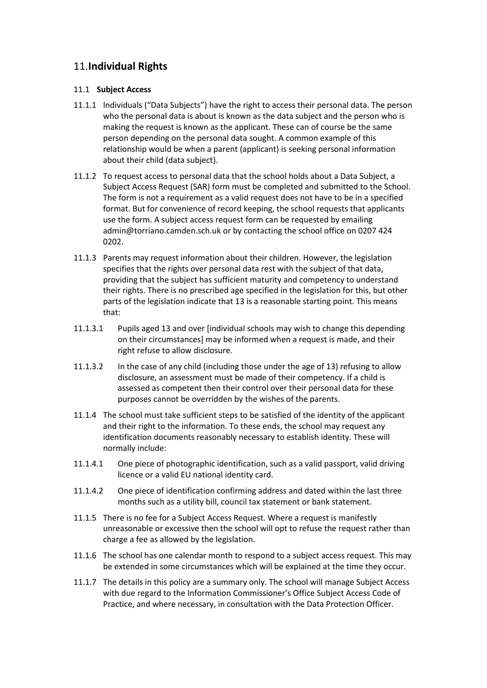## 11.**Individual Rights**

#### 11.1 **Subject Access**

- 11.1.1 Individuals ("Data Subjects") have the right to access their personal data. The person who the personal data is about is known as the data subject and the person who is making the request is known as the applicant. These can of course be the same person depending on the personal data sought. A common example of this relationship would be when a parent (applicant) is seeking personal information about their child (data subject).
- 11.1.2 To request access to personal data that the school holds about a Data Subject, a Subject Access Request (SAR) form must be completed and submitted to the School. The form is not a requirement as a valid request does not have to be in a specified format. But for convenience of record keeping, the school requests that applicants use the form. A subject access request form can be requested by emailing [admin@torriano.camden.sch.uk](mailto:admin@torriano.camden.sch.uk) or by contacting the school office on 0207 424 0202.
- 11.1.3 Parents may request information about their children. However, the legislation specifies that the rights over personal data rest with the subject of that data, providing that the subject has sufficient maturity and competency to understand their rights. There is no prescribed age specified in the legislation for this, but other parts of the legislation indicate that 13 is a reasonable starting point. This means that:
- 11.1.3.1 Pupils aged 13 and over [individual schools may wish to change this depending on their circumstances] may be informed when a request is made, and their right refuse to allow disclosure.
- 11.1.3.2 In the case of any child (including those under the age of 13) refusing to allow disclosure, an assessment must be made of their competency. If a child is assessed as competent then their control over their personal data for these purposes cannot be overridden by the wishes of the parents.
- 11.1.4 The school must take sufficient steps to be satisfied of the identity of the applicant and their right to the information. To these ends, the school may request any identification documents reasonably necessary to establish identity. These will normally include:
- 11.1.4.1 One piece of photographic identification, such as a valid passport, valid driving licence or a valid EU national identity card.
- 11.1.4.2 One piece of identification confirming address and dated within the last three months such as a utility bill, council tax statement or bank statement.
- 11.1.5 There is no fee for a Subject Access Request. Where a request is manifestly unreasonable or excessive then the school will opt to refuse the request rather than charge a fee as allowed by the legislation.
- 11.1.6 The school has one calendar month to respond to a subject access request. This may be extended in some circumstances which will be explained at the time they occur.
- 11.1.7 The details in this policy are a summary only. The school will manage Subject Access with due regard to the Information Commissioner's Office Subject Access Code of Practice, and where necessary, in consultation with the Data Protection Officer.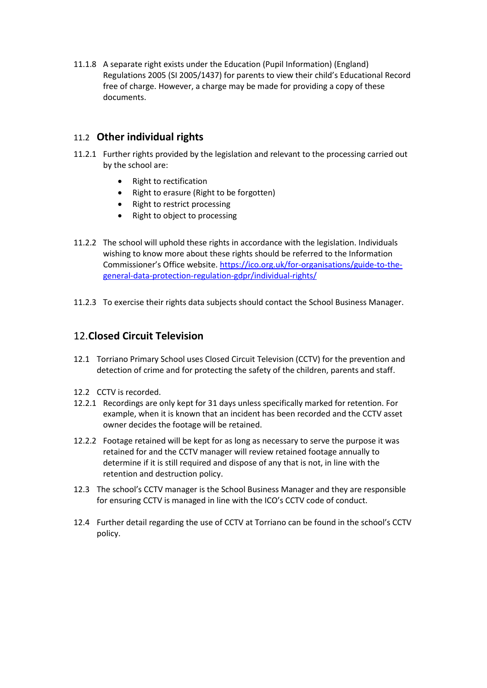11.1.8 A separate right exists under the Education (Pupil Information) (England) Regulations 2005 (SI 2005/1437) for parents to view their child's Educational Record free of charge. However, a charge may be made for providing a copy of these documents.

### 11.2 **Other individual rights**

- 11.2.1 Further rights provided by the legislation and relevant to the processing carried out by the school are:
	- Right to rectification
	- Right to erasure (Right to be forgotten)
	- Right to restrict processing
	- Right to object to processing
- 11.2.2 The school will uphold these rights in accordance with the legislation. Individuals wishing to know more about these rights should be referred to the Information Commissioner's Office website. https://ico.org.uk/for-organisations/guide-to-thegeneral-data-protection-regulation-gdpr/individual-rights/
- 11.2.3 To exercise their rights data subjects should contact the School Business Manager.

#### 12.**Closed Circuit Television**

- 12.1 Torriano Primary School uses Closed Circuit Television (CCTV) for the prevention and detection of crime and for protecting the safety of the children, parents and staff.
- 12.2 CCTV is recorded.
- 12.2.1 Recordings are only kept for 31 days unless specifically marked for retention. For example, when it is known that an incident has been recorded and the CCTV asset owner decides the footage will be retained.
- 12.2.2 Footage retained will be kept for as long as necessary to serve the purpose it was retained for and the CCTV manager will review retained footage annually to determine if it is still required and dispose of any that is not, in line with the retention and destruction policy.
- 12.3 The school's CCTV manager is the School Business Manager and they are responsible for ensuring CCTV is managed in line with the ICO's CCTV code of conduct.
- 12.4 Further detail regarding the use of CCTV at Torriano can be found in the school's CCTV policy.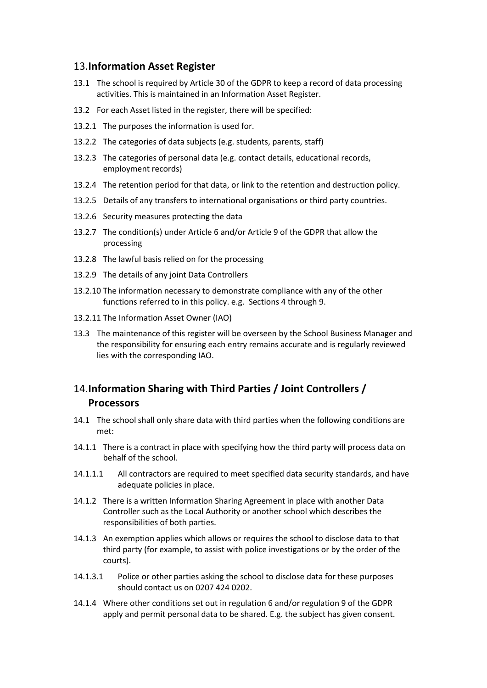#### 13.**Information Asset Register**

- 13.1 The school is required by Article 30 of the GDPR to keep a record of data processing activities. This is maintained in an Information Asset Register.
- 13.2 For each Asset listed in the register, there will be specified:
- 13.2.1 The purposes the information is used for.
- 13.2.2 The categories of data subjects (e.g. students, parents, staff)
- 13.2.3 The categories of personal data (e.g. contact details, educational records, employment records)
- 13.2.4 The retention period for that data, or link to the retention and destruction policy.
- 13.2.5 Details of any transfers to international organisations or third party countries.
- 13.2.6 Security measures protecting the data
- 13.2.7 The condition(s) under Article 6 and/or Article 9 of the GDPR that allow the processing
- 13.2.8 The lawful basis relied on for the processing
- 13.2.9 The details of any joint Data Controllers
- 13.2.10 The information necessary to demonstrate compliance with any of the other functions referred to in this policy. e.g. Sections 4 through 9.
- 13.2.11 The Information Asset Owner (IAO)
- 13.3 The maintenance of this register will be overseen by the School Business Manager and the responsibility for ensuring each entry remains accurate and is regularly reviewed lies with the corresponding IAO.

## 14.**Information Sharing with Third Parties / Joint Controllers / Processors**

- 14.1 The school shall only share data with third parties when the following conditions are met:
- 14.1.1 There is a contract in place with specifying how the third party will process data on behalf of the school.
- 14.1.1.1 All contractors are required to meet specified data security standards, and have adequate policies in place.
- 14.1.2 There is a written Information Sharing Agreement in place with another Data Controller such as the Local Authority or another school which describes the responsibilities of both parties.
- 14.1.3 An exemption applies which allows or requires the school to disclose data to that third party (for example, to assist with police investigations or by the order of the courts).
- 14.1.3.1 Police or other parties asking the school to disclose data for these purposes should contact us on 0207 424 0202.
- 14.1.4 Where other conditions set out in regulation 6 and/or regulation 9 of the GDPR apply and permit personal data to be shared. E.g. the subject has given consent.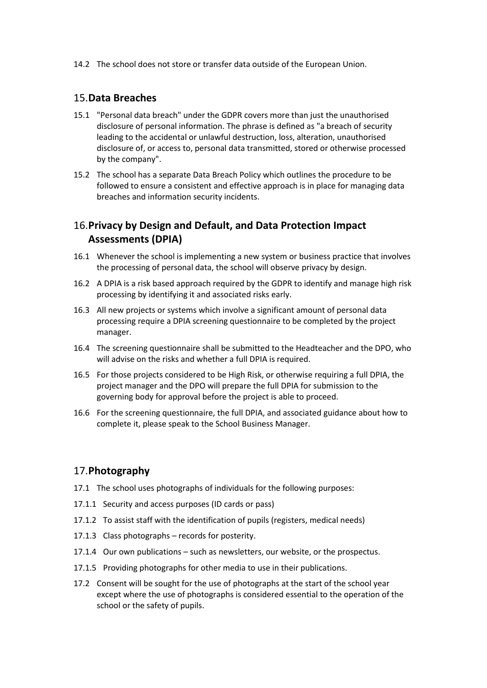14.2 The school does not store or transfer data outside of the European Union.

#### 15.**Data Breaches**

- 15.1 "Personal data breach" under the GDPR covers more than just the unauthorised disclosure of personal information. The phrase is defined as "a breach of security leading to the accidental or unlawful destruction, loss, alteration, unauthorised disclosure of, or access to, personal data transmitted, stored or otherwise processed by the company".
- 15.2 The school has a separate Data Breach Policy which outlines the procedure to be followed to ensure a consistent and effective approach is in place for managing data breaches and information security incidents.

## 16.**Privacy by Design and Default, and Data Protection Impact Assessments (DPIA)**

- 16.1 Whenever the school is implementing a new system or business practice that involves the processing of personal data, the school will observe privacy by design.
- 16.2 A DPIA is a risk based approach required by the GDPR to identify and manage high risk processing by identifying it and associated risks early.
- 16.3 All new projects or systems which involve a significant amount of personal data processing require a DPIA screening questionnaire to be completed by the project manager.
- 16.4 The screening questionnaire shall be submitted to the Headteacher and the DPO, who will advise on the risks and whether a full DPIA is required.
- 16.5 For those projects considered to be High Risk, or otherwise requiring a full DPIA, the project manager and the DPO will prepare the full DPIA for submission to the governing body for approval before the project is able to proceed.
- 16.6 For the screening questionnaire, the full DPIA, and associated guidance about how to complete it, please speak to the School Business Manager.

#### 17.**Photography**

- 17.1 The school uses photographs of individuals for the following purposes:
- 17.1.1 Security and access purposes (ID cards or pass)
- 17.1.2 To assist staff with the identification of pupils (registers, medical needs)
- 17.1.3 Class photographs records for posterity.
- 17.1.4 Our own publications such as newsletters, our website, or the prospectus.
- 17.1.5 Providing photographs for other media to use in their publications.
- 17.2 Consent will be sought for the use of photographs at the start of the school year except where the use of photographs is considered essential to the operation of the school or the safety of pupils.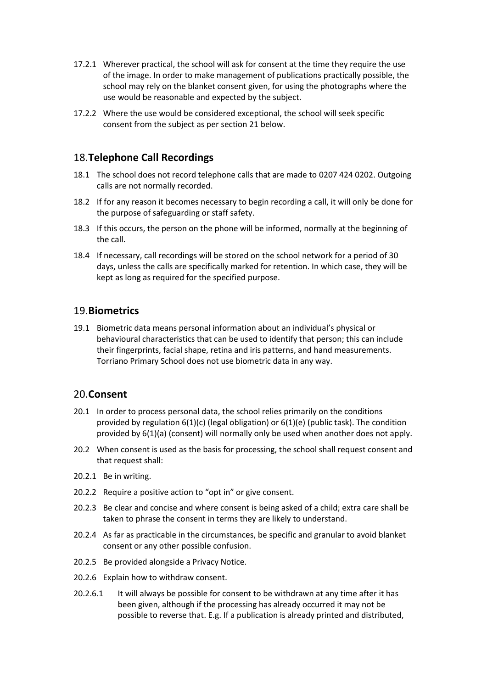- 17.2.1 Wherever practical, the school will ask for consent at the time they require the use of the image. In order to make management of publications practically possible, the school may rely on the blanket consent given, for using the photographs where the use would be reasonable and expected by the subject.
- 17.2.2 Where the use would be considered exceptional, the school will seek specific consent from the subject as per section 21 below.

#### 18.**Telephone Call Recordings**

- 18.1 The school does not record telephone calls that are made to 0207 424 0202. Outgoing calls are not normally recorded.
- 18.2 If for any reason it becomes necessary to begin recording a call, it will only be done for the purpose of safeguarding or staff safety.
- 18.3 If this occurs, the person on the phone will be informed, normally at the beginning of the call.
- 18.4 If necessary, call recordings will be stored on the school network for a period of 30 days, unless the calls are specifically marked for retention. In which case, they will be kept as long as required for the specified purpose.

#### 19.**Biometrics**

19.1 Biometric data means personal information about an individual's physical or behavioural characteristics that can be used to identify that person; this can include their fingerprints, facial shape, retina and iris patterns, and hand measurements. Torriano Primary School does not use biometric data in any way.

#### 20.**Consent**

- 20.1 In order to process personal data, the school relies primarily on the conditions provided by regulation 6(1)(c) (legal obligation) or 6(1)(e) (public task). The condition provided by 6(1)(a) (consent) will normally only be used when another does not apply.
- 20.2 When consent is used as the basis for processing, the school shall request consent and that request shall:
- 20.2.1 Be in writing.
- 20.2.2 Require a positive action to "opt in" or give consent.
- 20.2.3 Be clear and concise and where consent is being asked of a child; extra care shall be taken to phrase the consent in terms they are likely to understand.
- 20.2.4 As far as practicable in the circumstances, be specific and granular to avoid blanket consent or any other possible confusion.
- 20.2.5 Be provided alongside a Privacy Notice.
- 20.2.6 Explain how to withdraw consent.
- 20.2.6.1 It will always be possible for consent to be withdrawn at any time after it has been given, although if the processing has already occurred it may not be possible to reverse that. E.g. If a publication is already printed and distributed,